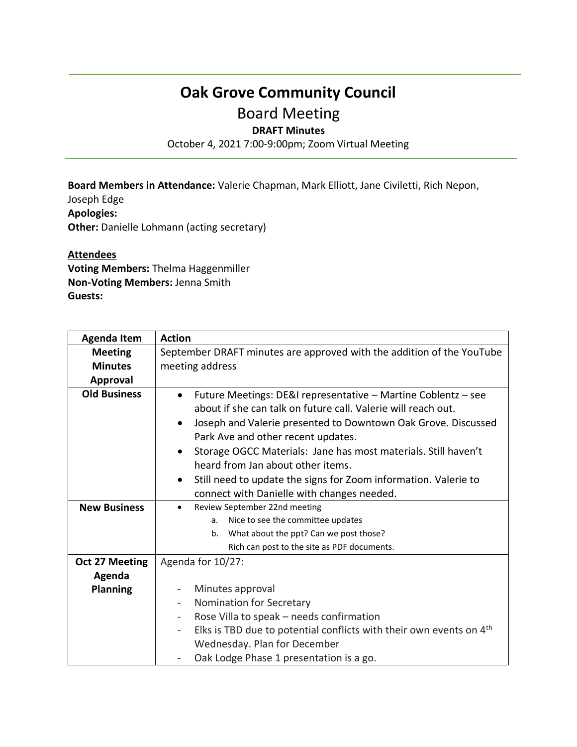## **Oak Grove Community Council**

## Board Meeting

## **DRAFT Minutes**

October 4, 2021 7:00-9:00pm; Zoom Virtual Meeting

**Board Members in Attendance:** Valerie Chapman, Mark Elliott, Jane Civiletti, Rich Nepon,

Joseph Edge **Apologies: Other:** Danielle Lohmann (acting secretary)

## **Attendees**

**Voting Members:** Thelma Haggenmiller **Non-Voting Members:** Jenna Smith **Guests:**

| <b>Agenda Item</b>    | <b>Action</b>                                                                                                                                                                                                                                                   |
|-----------------------|-----------------------------------------------------------------------------------------------------------------------------------------------------------------------------------------------------------------------------------------------------------------|
| <b>Meeting</b>        | September DRAFT minutes are approved with the addition of the YouTube                                                                                                                                                                                           |
| <b>Minutes</b>        | meeting address                                                                                                                                                                                                                                                 |
| <b>Approval</b>       |                                                                                                                                                                                                                                                                 |
| <b>Old Business</b>   | Future Meetings: DE&I representative - Martine Coblentz - see<br>$\bullet$<br>about if she can talk on future call. Valerie will reach out.<br>Joseph and Valerie presented to Downtown Oak Grove. Discussed<br>$\bullet$<br>Park Ave and other recent updates. |
|                       | Storage OGCC Materials: Jane has most materials. Still haven't<br>$\bullet$                                                                                                                                                                                     |
|                       | heard from Jan about other items.                                                                                                                                                                                                                               |
|                       | Still need to update the signs for Zoom information. Valerie to                                                                                                                                                                                                 |
|                       | connect with Danielle with changes needed.                                                                                                                                                                                                                      |
| <b>New Business</b>   | Review September 22nd meeting<br>$\bullet$                                                                                                                                                                                                                      |
|                       | Nice to see the committee updates<br>a.                                                                                                                                                                                                                         |
|                       | What about the ppt? Can we post those?<br>b.                                                                                                                                                                                                                    |
|                       | Rich can post to the site as PDF documents.                                                                                                                                                                                                                     |
| <b>Oct 27 Meeting</b> | Agenda for 10/27:                                                                                                                                                                                                                                               |
| Agenda                |                                                                                                                                                                                                                                                                 |
| <b>Planning</b>       | Minutes approval<br>$\overline{\phantom{a}}$                                                                                                                                                                                                                    |
|                       | Nomination for Secretary                                                                                                                                                                                                                                        |
|                       | Rose Villa to speak - needs confirmation                                                                                                                                                                                                                        |
|                       | Elks is TBD due to potential conflicts with their own events on 4 <sup>th</sup>                                                                                                                                                                                 |
|                       | Wednesday. Plan for December                                                                                                                                                                                                                                    |
|                       | Oak Lodge Phase 1 presentation is a go.                                                                                                                                                                                                                         |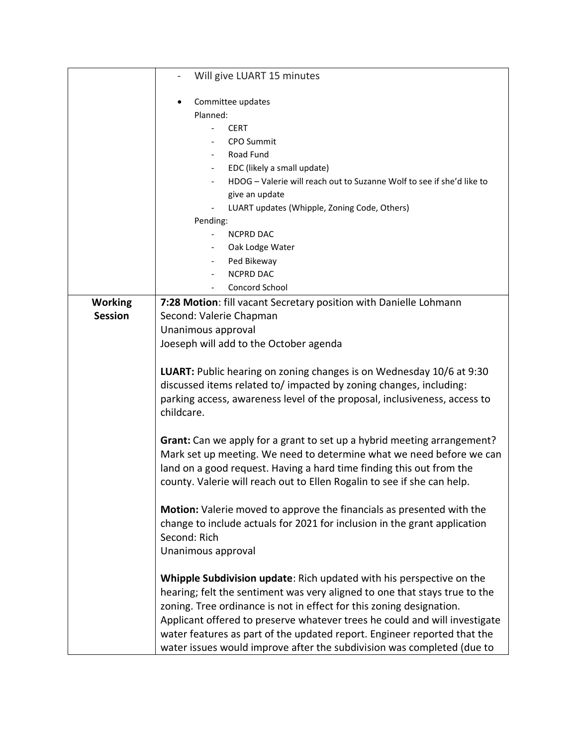|                | Will give LUART 15 minutes                                                                                                                                                                                                                                                                                                                                                                                                                                     |
|----------------|----------------------------------------------------------------------------------------------------------------------------------------------------------------------------------------------------------------------------------------------------------------------------------------------------------------------------------------------------------------------------------------------------------------------------------------------------------------|
|                | Committee updates                                                                                                                                                                                                                                                                                                                                                                                                                                              |
|                | Planned:                                                                                                                                                                                                                                                                                                                                                                                                                                                       |
|                | <b>CERT</b>                                                                                                                                                                                                                                                                                                                                                                                                                                                    |
|                | <b>CPO Summit</b>                                                                                                                                                                                                                                                                                                                                                                                                                                              |
|                | Road Fund                                                                                                                                                                                                                                                                                                                                                                                                                                                      |
|                | EDC (likely a small update)                                                                                                                                                                                                                                                                                                                                                                                                                                    |
|                | HDOG - Valerie will reach out to Suzanne Wolf to see if she'd like to                                                                                                                                                                                                                                                                                                                                                                                          |
|                | give an update                                                                                                                                                                                                                                                                                                                                                                                                                                                 |
|                | LUART updates (Whipple, Zoning Code, Others)                                                                                                                                                                                                                                                                                                                                                                                                                   |
|                | Pending:                                                                                                                                                                                                                                                                                                                                                                                                                                                       |
|                | <b>NCPRD DAC</b>                                                                                                                                                                                                                                                                                                                                                                                                                                               |
|                | Oak Lodge Water                                                                                                                                                                                                                                                                                                                                                                                                                                                |
|                | Ped Bikeway                                                                                                                                                                                                                                                                                                                                                                                                                                                    |
|                | <b>NCPRD DAC</b>                                                                                                                                                                                                                                                                                                                                                                                                                                               |
|                | Concord School                                                                                                                                                                                                                                                                                                                                                                                                                                                 |
| <b>Working</b> | 7:28 Motion: fill vacant Secretary position with Danielle Lohmann                                                                                                                                                                                                                                                                                                                                                                                              |
| <b>Session</b> | Second: Valerie Chapman                                                                                                                                                                                                                                                                                                                                                                                                                                        |
|                | Unanimous approval                                                                                                                                                                                                                                                                                                                                                                                                                                             |
|                | Joeseph will add to the October agenda                                                                                                                                                                                                                                                                                                                                                                                                                         |
|                | LUART: Public hearing on zoning changes is on Wednesday 10/6 at 9:30<br>discussed items related to/ impacted by zoning changes, including:<br>parking access, awareness level of the proposal, inclusiveness, access to<br>childcare.                                                                                                                                                                                                                          |
|                | Grant: Can we apply for a grant to set up a hybrid meeting arrangement?<br>Mark set up meeting. We need to determine what we need before we can<br>land on a good request. Having a hard time finding this out from the<br>county. Valerie will reach out to Ellen Rogalin to see if she can help.                                                                                                                                                             |
|                | Motion: Valerie moved to approve the financials as presented with the<br>change to include actuals for 2021 for inclusion in the grant application<br>Second: Rich<br>Unanimous approval                                                                                                                                                                                                                                                                       |
|                | Whipple Subdivision update: Rich updated with his perspective on the<br>hearing; felt the sentiment was very aligned to one that stays true to the<br>zoning. Tree ordinance is not in effect for this zoning designation.<br>Applicant offered to preserve whatever trees he could and will investigate<br>water features as part of the updated report. Engineer reported that the<br>water issues would improve after the subdivision was completed (due to |